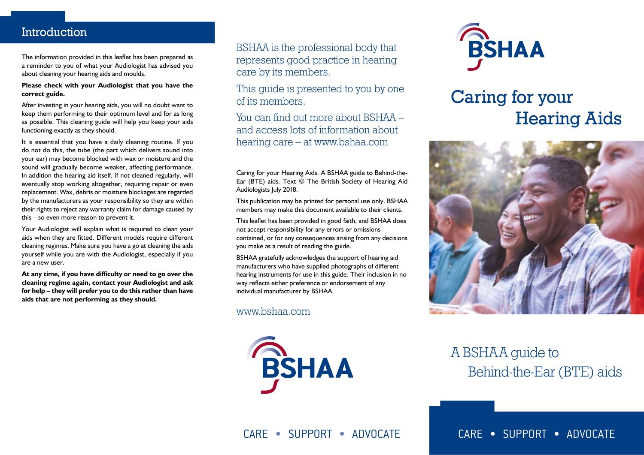### **Introduction**

The information provided in this leaflet has been prepared as a reminder to you of what your Audiologist has advised you about cleaning your hearing aids and moulds.

#### **Please check with your Audiologist that you have the correct guide.**

After investing in your hearing aids, you will no doubt want to keep them performing to their optimum level and for as long as possible. This cleaning guide will help you keep your aids functioning exactly as they should.

It is essential that you have a daily cleaning routine. If you do not do this, the tube (the part which delivers sound into your ear) may become blocked with wax or moisture and the sound will gradually become weaker, affecting performance. In addition the hearing aid itself, if not cleaned regularly, will eventually stop working altogether, requiring repair or even replacement. Wax, debris or moisture blockages are regarded by the manufacturers as your responsibility so they are within their rights to reject any warranty claim for damage caused by this – so even more reason to prevent it.

Your Audiologist will explain what is required to clean your aids when they are fitted. Different models require different cleaning regimes. Make sure you have a go at cleaning the aids yourself while you are with the Audiologist, especially if you are a new user.

**At any time, if you have difficulty or need to go over the cleaning regime again, contact your Audiologist and ask for help – they will prefer you to do this rather than have aids that are not performing as they should.**

BSHAA is the professional body that represents good practice in hearing care by its members.

This guide is presented to you by one of its members.

You can find out more about BSHAA – and access lots of information about hearing care – at www.bshaa.com

Caring for your Hearing Aids. A BSHAA guide to Behind-the-Ear (BTE) aids. Text © The British Society of Hearing Aid Audiologists July 2018.

This publication may be printed for personal use only. BSHAA members may make this document available to their clients.

This leaflet has been provided in good faith, and BSHAA does not accept responsibility for any errors or omissions contained, or for any consequences arising from any decisions you make as a result of reading the guide.

BSHAA gratefully acknowledges the support of hearing aid manufacturers who have supplied photographs of different hearing instruments for use in this guide. Their inclusion in no way reflects either preference or endorsement of any individual manufacturer by BSHAA.

www.bshaa.com





# Caring for your Hearing Aids



## A BSHAA guide to Behind-the-Ear (BTE) aids

CARE • SUPPORT • ADVOCATE

CARE • SUPPORT • ADVOCATE